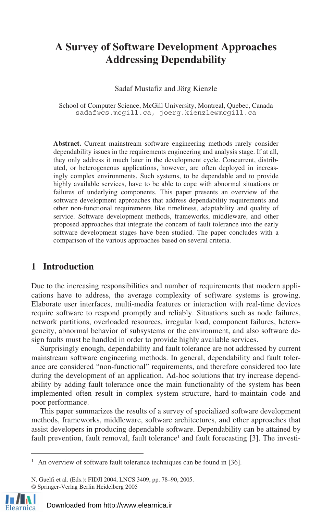# **A Survey of Software Development Approaches Addressing Dependability**

Sadaf Mustafiz and Jörg Kienzle

School of Computer Science, McGill University, Montreal, Quebec, Canada sadaf@cs.mcgill.ca, joerg.kienzle@mcgill.ca

**Abstract.** Current mainstream software engineering methods rarely consider dependability issues in the requirements engineering and analysis stage. If at all, they only address it much later in the development cycle. Concurrent, distributed, or heterogeneous applications, however, are often deployed in increasingly complex environments. Such systems, to be dependable and to provide highly available services, have to be able to cope with abnormal situations or failures of underlying components. This paper presents an overview of the software development approaches that address dependability requirements and other non-functional requirements like timeliness, adaptability and quality of service. Software development methods, frameworks, middleware, and other proposed approaches that integrate the concern of fault tolerance into the early software development stages have been studied. The paper concludes with a comparison of the various approaches based on several criteria.

## **1 Introduction**

Due to the increasing responsibilities and number of requirements that modern applications have to address, the average complexity of software systems is growing. Elaborate user interfaces, multi-media features or interaction with real-time devices require software to respond promptly and reliably. Situations such as node failures, network partitions, overloaded resources, irregular load, component failures, heterogeneity, abnormal behavior of subsystems or the environment, and also software design faults must be handled in order to provide highly available services.

Surprisingly enough, dependability and fault tolerance are not addressed by current mainstream software engineering methods. In general, dependability and fault tolerance are considered "non-functional" requirements, and therefore considered too late during the development of an application. Ad-hoc solutions that try increase dependability by adding fault tolerance once the main functionality of the system has been implemented often result in complex system structure, hard-to-maintain code and poor performance.

This paper summarizes the results of a survey of specialized software development methods, frameworks, middleware, software architectures, and other approaches that assist developers in producing dependable software. Dependability can be attained by fault prevention, fault removal, fault tolerance<sup>1</sup> and fault forecasting [3]. The investi-

N. Guelfi et al. (Eds.): FIDJI 2004, LNCS 3409, pp. 78–90, 2005. © Springer-Verlag Berlin Heidelberg 2005



 $\overline{a}$ 

<sup>&</sup>lt;sup>1</sup> An overview of software fault tolerance techniques can be found in [36].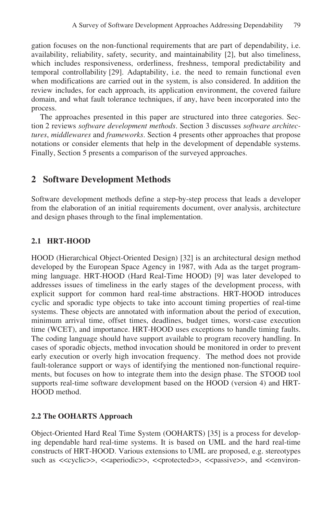gation focuses on the non-functional requirements that are part of dependability, i.e. availability, reliability, safety, security, and maintainability [2], but also timeliness, which includes responsiveness, orderliness, freshness, temporal predictability and temporal controllability [29]. Adaptability, i.e. the need to remain functional even when modifications are carried out in the system, is also considered. In addition the review includes, for each approach, its application environment, the covered failure domain, and what fault tolerance techniques, if any, have been incorporated into the process.

The approaches presented in this paper are structured into three categories. Section 2 reviews *software development methods*. Section 3 discusses *software architectures*, *middlewares* and *frameworks*. Section 4 presents other approaches that propose notations or consider elements that help in the development of dependable systems. Finally, Section 5 presents a comparison of the surveyed approaches.

## **2 Software Development Methods**

Software development methods define a step-by-step process that leads a developer from the elaboration of an initial requirements document, over analysis, architecture and design phases through to the final implementation.

## **2.1 HRT-HOOD**

HOOD (Hierarchical Object-Oriented Design) [32] is an architectural design method developed by the European Space Agency in 1987, with Ada as the target programming language. HRT-HOOD (Hard Real-Time HOOD) [9] was later developed to addresses issues of timeliness in the early stages of the development process, with explicit support for common hard real-time abstractions. HRT-HOOD introduces cyclic and sporadic type objects to take into account timing properties of real-time systems. These objects are annotated with information about the period of execution, minimum arrival time, offset times, deadlines, budget times, worst-case execution time (WCET), and importance. HRT-HOOD uses exceptions to handle timing faults. The coding language should have support available to program recovery handling. In cases of sporadic objects, method invocation should be monitored in order to prevent early execution or overly high invocation frequency. The method does not provide fault-tolerance support or ways of identifying the mentioned non-functional requirements, but focuses on how to integrate them into the design phase. The STOOD tool supports real-time software development based on the HOOD (version 4) and HRT-HOOD method.

### **2.2 The OOHARTS Approach**

Object-Oriented Hard Real Time System (OOHARTS) [35] is a process for developing dependable hard real-time systems. It is based on UML and the hard real-time constructs of HRT-HOOD. Various extensions to UML are proposed, e.g. stereotypes such as  $\langle \langle \text{cyclic} \rangle$ ,  $\langle \text{caperiodic} \rangle$ ,  $\langle \text{c-protected} \rangle$ ,  $\langle \text{cparse} \rangle$ , and  $\langle \text{cenviron} \rangle$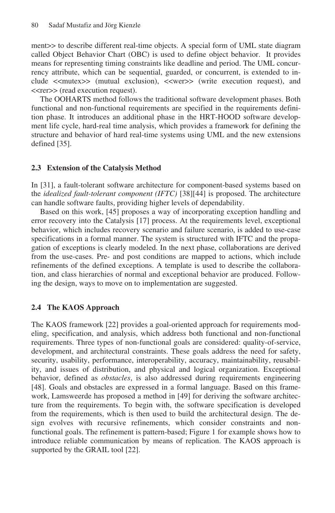ment>> to describe different real-time objects. A special form of UML state diagram called Object Behavior Chart (OBC) is used to define object behavior. It provides means for representing timing constraints like deadline and period. The UML concurrency attribute, which can be sequential, guarded, or concurrent, is extended to include <<mutex>> (mutual exclusion), <<wer>> (write execution request), and <<rer>> (read execution request).

The OOHARTS method follows the traditional software development phases. Both functional and non-functional requirements are specified in the requirements definition phase. It introduces an additional phase in the HRT-HOOD software development life cycle, hard-real time analysis, which provides a framework for defining the structure and behavior of hard real-time systems using UML and the new extensions defined [35].

#### **2.3 Extension of the Catalysis Method**

In [31], a fault-tolerant software architecture for component-based systems based on the *idealized fault-tolerant component (IFTC)* [38][44] is proposed. The architecture can handle software faults, providing higher levels of dependability.

Based on this work, [45] proposes a way of incorporating exception handling and error recovery into the Catalysis [17] process. At the requirements level, exceptional behavior, which includes recovery scenario and failure scenario, is added to use-case specifications in a formal manner. The system is structured with IFTC and the propagation of exceptions is clearly modeled. In the next phase, collaborations are derived from the use-cases. Pre- and post conditions are mapped to actions, which include refinements of the defined exceptions. A template is used to describe the collaboration, and class hierarchies of normal and exceptional behavior are produced. Following the design, ways to move on to implementation are suggested.

#### **2.4 The KAOS Approach**

The KAOS framework [22] provides a goal-oriented approach for requirements modeling, specification, and analysis, which address both functional and non-functional requirements. Three types of non-functional goals are considered: quality-of-service, development, and architectural constraints. These goals address the need for safety, security, usability, performance, interoperability, accuracy, maintainability, reusability, and issues of distribution, and physical and logical organization. Exceptional behavior, defined as *obstacles*, is also addressed during requirements engineering [48]. Goals and obstacles are expressed in a formal language. Based on this framework, Lamsweerde has proposed a method in [49] for deriving the software architecture from the requirements. To begin with, the software specification is developed from the requirements, which is then used to build the architectural design. The design evolves with recursive refinements, which consider constraints and nonfunctional goals. The refinement is pattern-based; Figure 1 for example shows how to introduce reliable communication by means of replication. The KAOS approach is supported by the GRAIL tool [22].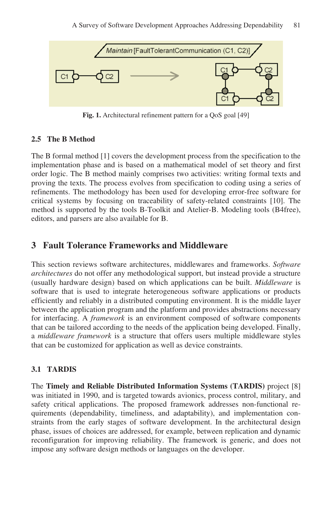

**Fig. 1.** Architectural refinement pattern for a QoS goal [49]

#### **2.5 The B Method**

The B formal method [1] covers the development process from the specification to the implementation phase and is based on a mathematical model of set theory and first order logic. The B method mainly comprises two activities: writing formal texts and proving the texts. The process evolves from specification to coding using a series of refinements. The methodology has been used for developing error-free software for critical systems by focusing on traceability of safety-related constraints [10]. The method is supported by the tools B-Toolkit and Atelier-B. Modeling tools (B4free), editors, and parsers are also available for B.

## **3 Fault Tolerance Frameworks and Middleware**

This section reviews software architectures, middlewares and frameworks. *Software architectures* do not offer any methodological support, but instead provide a structure (usually hardware design) based on which applications can be built. *Middleware* is software that is used to integrate heterogeneous software applications or products efficiently and reliably in a distributed computing environment. It is the middle layer between the application program and the platform and provides abstractions necessary for interfacing. A *framework* is an environment composed of software components that can be tailored according to the needs of the application being developed. Finally, a *middleware framework* is a structure that offers users multiple middleware styles that can be customized for application as well as device constraints.

#### **3.1 TARDIS**

The **Timely and Reliable Distributed Information Systems (TARDIS)** project [8] was initiated in 1990, and is targeted towards avionics, process control, military, and safety critical applications. The proposed framework addresses non-functional requirements (dependability, timeliness, and adaptability), and implementation constraints from the early stages of software development. In the architectural design phase, issues of choices are addressed, for example, between replication and dynamic reconfiguration for improving reliability. The framework is generic, and does not impose any software design methods or languages on the developer.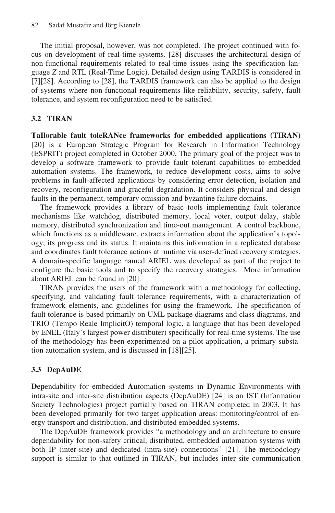The initial proposal, however, was not completed. The project continued with focus on development of real-time systems. [28] discusses the architectural design of non-functional requirements related to real-time issues using the specification language *Z* and RTL (Real-Time Logic). Detailed design using TARDIS is considered in [7][28]. According to [28], the TARDIS framework can also be applied to the design of systems where non-functional requirements like reliability, security, safety, fault tolerance, and system reconfiguration need to be satisfied.

#### **3.2 TIRAN**

**TaIlorable fault toleRANce frameworks for embedded applications (TIRAN)**  [20] is a European Strategic Program for Research in Information Technology (ESPRIT) project completed in October 2000. The primary goal of the project was to develop a software framework to provide fault tolerant capabilities to embedded automation systems. The framework, to reduce development costs, aims to solve problems in fault-affected applications by considering error detection, isolation and recovery, reconfiguration and graceful degradation. It considers physical and design faults in the permanent, temporary omission and byzantine failure domains.

The framework provides a library of basic tools implementing fault tolerance mechanisms like watchdog, distributed memory, local voter, output delay, stable memory, distributed synchronization and time-out management. A control backbone, which functions as a middleware, extracts information about the application's topology, its progress and its status. It maintains this information in a replicated database and coordinates fault tolerance actions at runtime via user-defined recovery strategies. A domain-specific language named ARIEL was developed as part of the project to configure the basic tools and to specify the recovery strategies. More information about ARIEL can be found in [20].

TIRAN provides the users of the framework with a methodology for collecting, specifying, and validating fault tolerance requirements, with a characterization of framework elements, and guidelines for using the framework. The specification of fault tolerance is based primarily on UML package diagrams and class diagrams, and TRIO (Tempo Reale ImplicitO) temporal logic, a language that has been developed by ENEL (Italy's largest power distributer) specifically for real-time systems. The use of the methodology has been experimented on a pilot application, a primary substation automation system, and is discussed in [18][25].

#### **3.3 DepAuDE**

**Dep**endability for embedded **Au**tomation systems in **D**ynamic **E**nvironments with intra-site and inter-site distribution aspects (DepAuDE) [24] is an IST (Information Society Technologies) project partially based on TIRAN completed in 2003. It has been developed primarily for two target application areas: monitoring/control of energy transport and distribution, and distributed embedded systems.

The DepAuDE framework provides "a methodology and an architecture to ensure dependability for non-safety critical, distributed, embedded automation systems with both IP (inter-site) and dedicated (intra-site) connections" [21]. The methodology support is similar to that outlined in TIRAN, but includes inter-site communication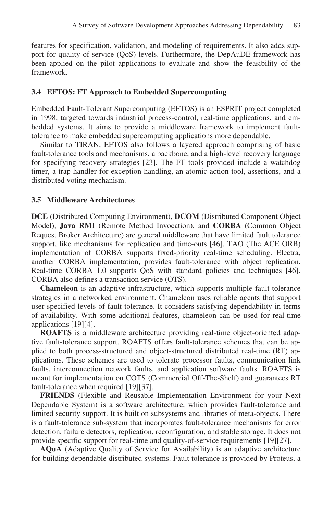features for specification, validation, and modeling of requirements. It also adds support for quality-of-service (QoS) levels. Furthermore, the DepAuDE framework has been applied on the pilot applications to evaluate and show the feasibility of the framework.

#### **3.4 EFTOS: FT Approach to Embedded Supercomputing**

Embedded Fault-Tolerant Supercomputing (EFTOS) is an ESPRIT project completed in 1998, targeted towards industrial process-control, real-time applications, and embedded systems. It aims to provide a middleware framework to implement faulttolerance to make embedded supercomputing applications more dependable.

Similar to TIRAN, EFTOS also follows a layered approach comprising of basic fault-tolerance tools and mechanisms, a backbone, and a high-level recovery language for specifying recovery strategies [23]. The FT tools provided include a watchdog timer, a trap handler for exception handling, an atomic action tool, assertions, and a distributed voting mechanism.

#### **3.5 Middleware Architectures**

**DCE** (Distributed Computing Environment), **DCOM** (Distributed Component Object Model), **Java RMI** (Remote Method Invocation), and **CORBA** (Common Object Request Broker Architecture) are general middleware that have limited fault tolerance support, like mechanisms for replication and time-outs [46]. TAO (The ACE ORB) implementation of CORBA supports fixed-priority real-time scheduling. Electra, another CORBA implementation, provides fault-tolerance with object replication. Real-time CORBA 1.0 supports QoS with standard policies and techniques [46]. CORBA also defines a transaction service (OTS).

**Chameleon** is an adaptive infrastructure, which supports multiple fault-tolerance strategies in a networked environment. Chameleon uses reliable agents that support user-specified levels of fault-tolerance. It considers satisfying dependability in terms of availability. With some additional features, chameleon can be used for real-time applications [19][4].

**ROAFTS** is a middleware architecture providing real-time object-oriented adaptive fault-tolerance support. ROAFTS offers fault-tolerance schemes that can be applied to both process-structured and object-structured distributed real-time (RT) applications. These schemes are used to tolerate processor faults, communication link faults, interconnection network faults, and application software faults. ROAFTS is meant for implementation on COTS (Commercial Off-The-Shelf) and guarantees RT fault-tolerance when required [19][37].

**FRIENDS** (Flexible and Reusable Implementation Environment for your Next Dependable System) is a software architecture, which provides fault-tolerance and limited security support. It is built on subsystems and libraries of meta-objects. There is a fault-tolerance sub-system that incorporates fault-tolerance mechanisms for error detection, failure detectors, replication, reconfiguration, and stable storage. It does not provide specific support for real-time and quality-of-service requirements [19][27].

**AQuA** (Adaptive Quality of Service for Availability) is an adaptive architecture for building dependable distributed systems. Fault tolerance is provided by Proteus, a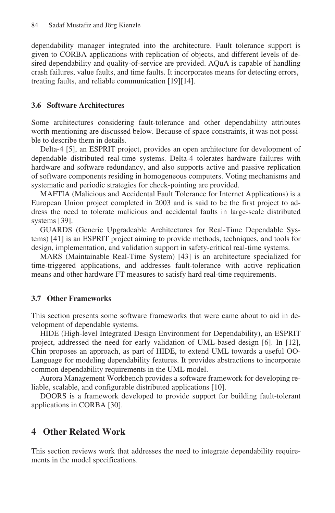dependability manager integrated into the architecture. Fault tolerance support is given to CORBA applications with replication of objects, and different levels of desired dependability and quality-of-service are provided. AQuA is capable of handling crash failures, value faults, and time faults. It incorporates means for detecting errors, treating faults, and reliable communication [19][14].

#### **3.6 Software Architectures**

Some architectures considering fault-tolerance and other dependability attributes worth mentioning are discussed below. Because of space constraints, it was not possible to describe them in details.

Delta-4 [5], an ESPRIT project, provides an open architecture for development of dependable distributed real-time systems. Delta-4 tolerates hardware failures with hardware and software redundancy, and also supports active and passive replication of software components residing in homogeneous computers. Voting mechanisms and systematic and periodic strategies for check-pointing are provided.

MAFTIA (Malicious and Accidental Fault Tolerance for Internet Applications) is a European Union project completed in 2003 and is said to be the first project to address the need to tolerate malicious and accidental faults in large-scale distributed systems [39].

GUARDS (Generic Upgradeable Architectures for Real-Time Dependable Systems) [41] is an ESPRIT project aiming to provide methods, techniques, and tools for design, implementation, and validation support in safety-critical real-time systems.

MARS (Maintainable Real-Time System) [43] is an architecture specialized for time-triggered applications, and addresses fault-tolerance with active replication means and other hardware FT measures to satisfy hard real-time requirements.

#### **3.7 Other Frameworks**

This section presents some software frameworks that were came about to aid in development of dependable systems.

HIDE (High-level Integrated Design Environment for Dependability), an ESPRIT project, addressed the need for early validation of UML-based design [6]. In [12], Chin proposes an approach, as part of HIDE, to extend UML towards a useful OO-Language for modeling dependability features. It provides abstractions to incorporate common dependability requirements in the UML model.

Aurora Management Workbench provides a software framework for developing reliable, scalable, and configurable distributed applications [10].

DOORS is a framework developed to provide support for building fault-tolerant applications in CORBA [30].

### **4 Other Related Work**

This section reviews work that addresses the need to integrate dependability requirements in the model specifications.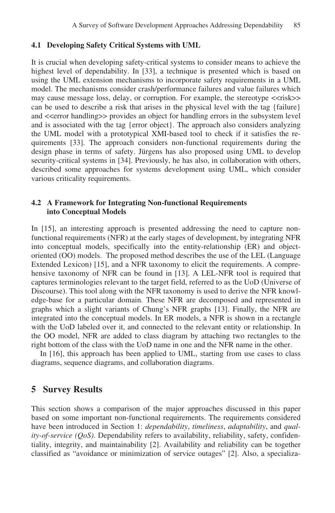#### **4.1 Developing Safety Critical Systems with UML**

It is crucial when developing safety-critical systems to consider means to achieve the highest level of dependability. In [33], a technique is presented which is based on using the UML extension mechanisms to incorporate safety requirements in a UML model. The mechanisms consider crash/performance failures and value failures which may cause message loss, delay, or corruption. For example, the stereotype <<risk>> can be used to describe a risk that arises in the physical level with the tag {failure} and  $\le$  error handling  $\ge$  provides an object for handling errors in the subsystem level and is associated with the tag {error object}. The approach also considers analyzing the UML model with a prototypical XMI-based tool to check if it satisfies the requirements [33]. The approach considers non-functional requirements during the design phase in terms of safety. Jürgens has also proposed using UML to develop security-critical systems in [34]. Previously, he has also, in collaboration with others, described some approaches for systems development using UML, which consider various criticality requirements.

#### **4.2 A Framework for Integrating Non-functional Requirements into Conceptual Models**

In [15], an interesting approach is presented addressing the need to capture nonfunctional requirements (NFR) at the early stages of development, by integrating NFR into conceptual models, specifically into the entity-relationship (ER) and objectoriented (OO) models. The proposed method describes the use of the LEL (Language Extended Lexicon) [15], and a NFR taxonomy to elicit the requirements. A comprehensive taxonomy of NFR can be found in [13]. A LEL-NFR tool is required that captures terminologies relevant to the target field, referred to as the UoD (Universe of Discourse). This tool along with the NFR taxonomy is used to derive the NFR knowledge-base for a particular domain. These NFR are decomposed and represented in graphs which a slight variants of Chung's NFR graphs [13]. Finally, the NFR are integrated into the conceptual models. In ER models, a NFR is shown in a rectangle with the UoD labeled over it, and connected to the relevant entity or relationship. In the OO model, NFR are added to class diagram by attaching two rectangles to the right bottom of the class with the UoD name in one and the NFR name in the other.

In [16], this approach has been applied to UML, starting from use cases to class diagrams, sequence diagrams, and collaboration diagrams.

### **5 Survey Results**

This section shows a comparison of the major approaches discussed in this paper based on some important non-functional requirements. The requirements considered have been introduced in Section 1: *dependability*, *timeliness*, *adaptability*, and *quality-of-service (QoS)*. Dependability refers to availability, reliability, safety, confidentiality, integrity, and maintainability [2]. Availability and reliability can be together classified as "avoidance or minimization of service outages" [2]. Also, a specializa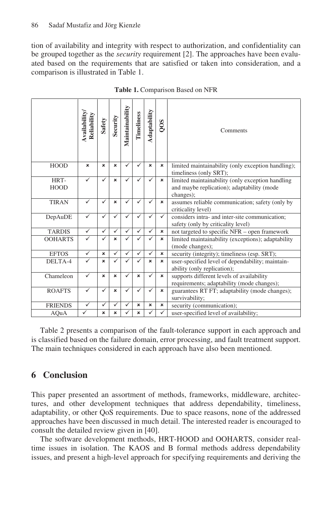tion of availability and integrity with respect to authorization, and confidentiality can be grouped together as the *security* requirement [2]. The approaches have been evaluated based on the requirements that are satisfied or taken into consideration, and a comparison is illustrated in Table 1.

|                     | <b>Availability</b><br>Reliability | <b>Safety</b>             | Security     | Maintainability | Timeliness                | Adaptability              | SOO                       | Comments                                                                                                    |
|---------------------|------------------------------------|---------------------------|--------------|-----------------|---------------------------|---------------------------|---------------------------|-------------------------------------------------------------------------------------------------------------|
| <b>HOOD</b>         | ×                                  | $\boldsymbol{\mathsf{x}}$ | ×            | ✓               | ✓                         | $\mathbf{x}$              | $\boldsymbol{\mathsf{x}}$ | limited maintainability (only exception handling);<br>timeliness (only SRT);                                |
| HRT-<br><b>HOOD</b> | ✓                                  | ✓                         | ×            | ✓               |                           | ✓                         | $\boldsymbol{\mathsf{x}}$ | limited maintainability (only exception handling<br>and maybe replication); adaptability (mode<br>changes); |
| <b>TIRAN</b>        | ✓                                  | ✓                         | ×            | ✓               | $\checkmark$              | ✓                         | $\pmb{\times}$            | assumes reliable communication; safety (only by<br>criticality level)                                       |
| DepAuDE             | ✓                                  | $\checkmark$              | ✓            | ✓               |                           | ✓                         | $\checkmark$              | considers intra- and inter-site communication;<br>safety (only by criticality level)                        |
| <b>TARDIS</b>       | ✓                                  | ✓                         | $\checkmark$ | ✓               | $\checkmark$              | ✓                         | ×                         | not targeted to specific NFR - open framework                                                               |
| <b>OOHARTS</b>      | ✓                                  | ✓                         | ×            | ✓               |                           | ✓                         | $\boldsymbol{\mathsf{x}}$ | limited maintainability (exceptions); adaptability<br>(mode changes);                                       |
| <b>EFTOS</b>        | $\checkmark$                       | $\mathbf{x}$              | ✓            | ✓               | $\checkmark$              | ✓                         | $\boldsymbol{\mathsf{x}}$ | security (integrity); timeliness (esp. SRT);                                                                |
| DELTA-4             | ✓                                  | $\pmb{\times}$            |              | ✓               |                           | $\boldsymbol{\mathsf{x}}$ | $\boldsymbol{\mathsf{x}}$ | user-specified level of dependability; maintain-<br>ability (only replication);                             |
| Chameleon           | ✓                                  | $\mathbf{x}$              | ×            | ✓               | $\mathbf{x}$              | ✓                         | $\boldsymbol{\mathsf{x}}$ | supports different levels of availability<br>requirements; adaptability (mode changes);                     |
| <b>ROAFTS</b>       | ✓                                  | ✓                         | ×            | ✓               | ✓                         | ✓                         | $\boldsymbol{\mathsf{x}}$ | guarantees RT FT; adaptability (mode changes);<br>survivability;                                            |
| <b>FRIENDS</b>      | $\checkmark$                       | $\checkmark$              | ✓            | ✓               | $\boldsymbol{\mathsf{x}}$ | $\pmb{\times}$            | $\pmb{\times}$            | security (communication);                                                                                   |
| AQuA                | $\checkmark$                       | ×                         | ×            | $\checkmark$    | $\mathbf{x}$              | ✓                         | $\checkmark$              | user-specified level of availability;                                                                       |

**Table 1.** Comparison Based on NFR

Table 2 presents a comparison of the fault-tolerance support in each approach and is classified based on the failure domain, error processing, and fault treatment support. The main techniques considered in each approach have also been mentioned.

## **6 Conclusion**

This paper presented an assortment of methods, frameworks, middleware, architectures, and other development techniques that address dependability, timeliness, adaptability, or other QoS requirements. Due to space reasons, none of the addressed approaches have been discussed in much detail. The interested reader is encouraged to consult the detailed review given in [40].

The software development methods, HRT-HOOD and OOHARTS, consider realtime issues in isolation. The KAOS and B formal methods address dependability issues, and present a high-level approach for specifying requirements and deriving the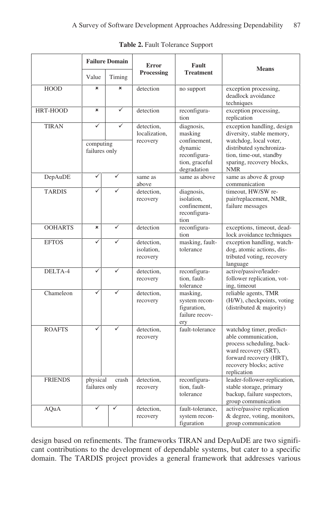|                |                                            | <b>Failure Domain</b> | <b>Error</b>                            | Fault                                                                                             |                                                                                                                                                                                     |
|----------------|--------------------------------------------|-----------------------|-----------------------------------------|---------------------------------------------------------------------------------------------------|-------------------------------------------------------------------------------------------------------------------------------------------------------------------------------------|
|                | Value<br>Timing                            |                       | <b>Processing</b>                       | <b>Treatment</b>                                                                                  | <b>Means</b>                                                                                                                                                                        |
| <b>HOOD</b>    | $\mathbf{x}$                               | $\mathbf{x}$          | detection                               | no support                                                                                        | exception processing,<br>deadlock avoidance<br>techniques                                                                                                                           |
| HRT-HOOD       | $\boldsymbol{\mathsf{x}}$                  | $\checkmark$          | detection                               | reconfigura-<br>tion                                                                              | exception processing,<br>replication                                                                                                                                                |
| <b>TIRAN</b>   | $\checkmark$<br>computing<br>failures only | ✓                     | detection,<br>localization.<br>recovery | diagnosis,<br>masking<br>confinement,<br>dynamic<br>reconfigura-<br>tion, graceful<br>degradation | exception handling, design<br>diversity, stable memory,<br>watchdog, local voter,<br>distributed synchroniza-<br>tion, time-out, standby<br>sparing, recovery blocks,<br><b>NMR</b> |
| DepAuDE        | $\checkmark$                               | ✓                     | same as<br>above                        | same as above                                                                                     | same as above & group<br>communication                                                                                                                                              |
| <b>TARDIS</b>  |                                            |                       | detection,<br>recovery                  | diagnosis,<br>isolation.<br>confinement,<br>reconfigura-<br>tion                                  | timeout. HW/SW re-<br>pair/replacement, NMR,<br>failure messages                                                                                                                    |
| <b>OOHARTS</b> | ×                                          | $\checkmark$          | detection                               | reconfigura-<br>tion                                                                              | exceptions, timeout, dead-<br>lock avoidance techniques                                                                                                                             |
| <b>EFTOS</b>   | ✓                                          | ✓                     | detection,<br>isolation.<br>recovery    | masking, fault-<br>tolerance                                                                      | exception handling, watch-<br>dog, atomic actions, dis-<br>tributed voting, recovery<br>language                                                                                    |
| DELTA-4        | ✓                                          | ✓                     | detection,<br>recovery                  | reconfigura-<br>tion, fault-<br>tolerance                                                         | active/passive/leader-<br>follower replication, vot-<br>ing, timeout                                                                                                                |
| Chameleon      | ✓                                          |                       | detection,<br>recovery                  | masking,<br>system recon-<br>figuration,<br>failure recov-<br>erv                                 | reliable agents, TMR<br>(H/W), checkpoints, voting<br>(distributed & majority)                                                                                                      |
| <b>ROAFTS</b>  | ✓                                          |                       | detection,<br>recovery                  | fault-tolerance                                                                                   | watchdog timer, predict-<br>able communication,<br>process scheduling, back-<br>ward recovery (SRT),<br>forward recovery (HRT),<br>recovery blocks; active<br>replication           |
| <b>FRIENDS</b> | physical<br>failures only                  | crash                 | detection,<br>recovery                  | reconfigura-<br>tion, fault-<br>tolerance                                                         | leader-follower-replication,<br>stable storage, primary<br>backup, failure suspectors,<br>group communication                                                                       |
| <b>AQuA</b>    | ✓<br>✓                                     |                       | detection,<br>recovery                  | fault-tolerance,<br>system recon-<br>figuration                                                   | active/passive replication<br>& degree, voting, monitors,<br>group communication                                                                                                    |

**Table 2.** Fault Tolerance Support

design based on refinements. The frameworks TIRAN and DepAuDE are two significant contributions to the development of dependable systems, but cater to a specific domain. The TARDIS project provides a general framework that addresses various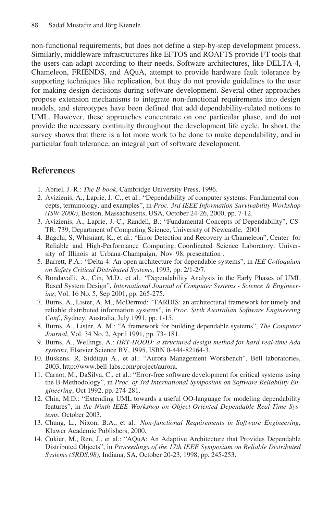non-functional requirements, but does not define a step-by-step development process. Similarly, middleware infrastructures like EFTOS and ROAFTS provide FT tools that the users can adapt according to their needs. Software architectures, like DELTA-4, Chameleon, FRIENDS, and AQuA, attempt to provide hardware fault tolerance by supporting techniques like replication, but they do not provide guidelines to the user for making design decisions during software development. Several other approaches propose extension mechanisms to integrate non-functional requirements into design models, and stereotypes have been defined that add dependability-related notions to UML. However, these approaches concentrate on one particular phase, and do not provide the necessary continuity throughout the development life cycle. In short, the survey shows that there is a lot more work to be done to make dependability, and in particular fault tolerance, an integral part of software development.

## **References**

- 1. Abriel, J.-R.: *The B-book*, Cambridge University Press, 1996.
- 2. Avizienis, A., Laprie, J.-C., et al.: "Dependability of computer systems: Fundamental concepts, terminology, and examples", in *Proc. 3rd IEEE Information Survivability Workshop (ISW-2000)*, Boston, Massachusetts, USA, October 24-26, 2000, pp. 7-12.
- 3. Avizienis, A., Laprie, J.-C., Randell, B.: "Fundamental Concepts of Dependability", CS-TR: 739, Department of Computing Science, University of Newcastle, 2001.
- 4. Bagchi, S, Whisnant, K., et al.: "Error Detection and Recovery in Chameleon", Center for Reliable and High-Performance Computing, Coordinated Science Laboratory, University of Illinois at Urbana-Champaign, Nov 98, presentation .
- 5. Barrett, P.A.: "Delta-4: An open architecture for dependable systems", in *IEE Colloquium on Safety Critical Distributed Systems*, 1993, pp. 2/1-2/7.
- 6. Bondavalli, A., Cin, M.D., et al.: "Dependability Analysis in the Early Phases of UML Based System Design", *International Journal of Computer Systems - Science & Engineering*, Vol. 16 No. 5, Sep 2001, pp. 265-275.
- 7. Burns, A., Lister, A. M., McDermid: "TARDIS: an architectural framework for timely and reliable distributed information systems", in *Proc. Sixth Australian Software Engineering Conf.*, Sydney, Australia, July 1991, pp. 1-15.
- 8. Burns, A., Lister, A. M.: "A framework for building dependable systems", *The Computer Journal*, Vol. 34 No. 2, April 1991, pp. 73- 181.
- 9. Burns, A., Wellings, A.: *HRT-HOOD: a structured design method for hard real-time Ada systems*, Elsevier Science BV, 1995, ISBN 0-444-82164-3.
- 10. Buskens. R, Siddiqui A., et al.: "Aurora Management Workbench", Bell laboratories, 2003, http://www.bell-labs.com/project/aurora.
- 11. Carnot, M., DaSilva, C., et al.: "Error-free software development for critical systems using the B-Methodology", in *Proc. of 3rd International Symposium on Software Reliability Engineering*, Oct 1992, pp. 274-281.
- 12. Chin, M.D.: "Extending UML towards a useful OO-language for modeling dependability features", in *the Ninth IEEE Workshop on Object-Oriented Dependable Real-Time Systems*, October 2003.
- 13. Chung, L., Nixon, B.A., et al.: *Non-functional Requirements in Software Engineering*, Kluwer Academic Publishers, 2000.
- 14. Cukier, M., Ren, J., et al.: "AQuA: An Adaptive Architecture that Provides Dependable Distributed Objects", in *Proceedings of the 17th IEEE Symposium on Reliable Distributed Systems (SRDS.98),* Indiana, SA, October 20-23, 1998, pp. 245-253.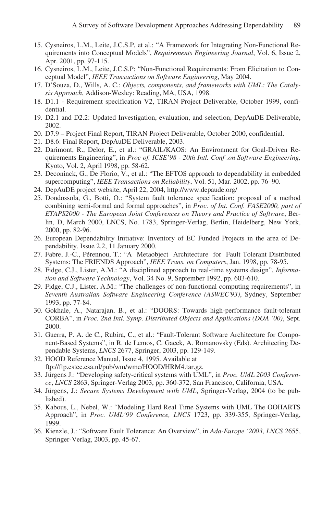- 15. Cysneiros, L.M., Leite, J.C.S.P, et al.: "A Framework for Integrating Non-Functional Requirements into Conceptual Models", *Requirements Engineering Journal*, Vol. 6, Issue 2, Apr. 2001, pp. 97-115.
- 16. Cysneiros, L.M., Leite, J.C.S.P: "Non-Functional Requirements: From Elicitation to Conceptual Model", *IEEE Transactions on Software Engineering*, May 2004.
- 17. D'Souza, D., Wills, A. C.: *Objects, components, and frameworks with UML: The Catalysis Approach*, Addison-Wesley: Reading, MA, USA, 1998.
- 18. D1.1 Requirement specification V2, TIRAN Project Deliverable, October 1999, confidential.
- 19. D2.1 and D2.2: Updated Investigation, evaluation, and selection, DepAuDE Deliverable, 2002.
- 20. D7.9 Project Final Report, TIRAN Project Deliverable, October 2000, confidential.
- 21. D8.6: Final Report, DepAuDE Deliverable, 2003.
- 22. Darimont, R., Delor, E., et al.: "GRAIL/KAOS: An Environment for Goal-Driven Requirements Engineering", in *Proc of. ICSE'98 - 20th Intl. Conf .on Software Engineering,*  Kyoto, Vol. 2, April 1998, pp. 58-62.
- 23. Deconinck, G., De Florio, V., et al.: "The EFTOS approach to dependability in embedded supercomputing", *IEEE Transactions on Reliability*, Vol. 51, Mar. 2002, pp. 76–90.
- 24. DepAuDE project website, April 22, 2004, http://www.depaude.org/
- 25. Dondossola, G., Botti, O.: "System fault tolerance specification: proposal of a method combining semi-formal and formal approaches", in *Proc. of Int. Conf. FASE2000, part of ETAPS2000 - The European Joint Conferences on Theory and Practice of Software*, Berlin, D, March 2000, LNCS, No. 1783, Springer-Verlag, Berlin, Heidelberg, New York, 2000, pp. 82-96.
- 26. European Dependability Initiative: Inventory of EC Funded Projects in the area of Dependability, Issue 2.2, 11 January 2000.
- 27. Fabre, J.-C., Pérennou, T.: "A Metaobject Architecture for Fault Tolerant Distributed Systems: The FRIENDS Approach", *IEEE Trans. on Computers*, Jan. 1998, pp. 78-95.
- 28. Fidge, C.J., Lister, A.M.: "A disciplined approach to real-time systems design", *Information and Software Technology*, Vol. 34 No. 9, September 1992, pp. 603-610.
- 29. Fidge, C.J., Lister, A.M.: "The challenges of non-functional computing requirements", in *Seventh Australian Software Engineering Conference (ASWEC'93)*, Sydney, September 1993, pp. 77-84.
- 30. Gokhale, A., Natarajan, B., et al.: "DOORS: Towards high-performance fault-tolerant CORBA", in *Proc. 2nd Intl. Symp. Distributed Objects and Applications (DOA '00)*, Sept. 2000.
- 31. Guerra, P. A. de C., Rubira, C., et al.: "Fault-Tolerant Software Architecture for Component-Based Systems", in R. de Lemos, C. Gacek, A. Romanovsky (Eds). Architecting Dependable Systems, *LNCS* 2677, Springer, 2003, pp. 129-149.
- 32. HOOD Reference Manual, Issue 4, 1995. Available at ftp://ftp.estec.esa.nl/pub/wm/wme/HOOD/HRM4.tar.gz.
- 33. Jürgens J.: "Developing safety-critical systems with UML", in *Proc. UML 2003 Conference*, *LNCS* 2863, Springer-Verlag 2003, pp. 360-372, San Francisco, California, USA.
- 34. Jürgens, J.: *Secure Systems Development with UML*, Springer-Verlag, 2004 (to be published).
- 35. Kabous, L., Nebel, W.: "Modeling Hard Real Time Systems with UML The OOHARTS Approach", in *Proc. UML'99 Conference, LNCS* 1723, pp. 339-355, Springer-Verlag, 1999.
- 36. Kienzle, J.: "Software Fault Tolerance: An Overview", in *Ada-Europe '2003*, *LNCS* 2655, Springer-Verlag, 2003, pp. 45-67.